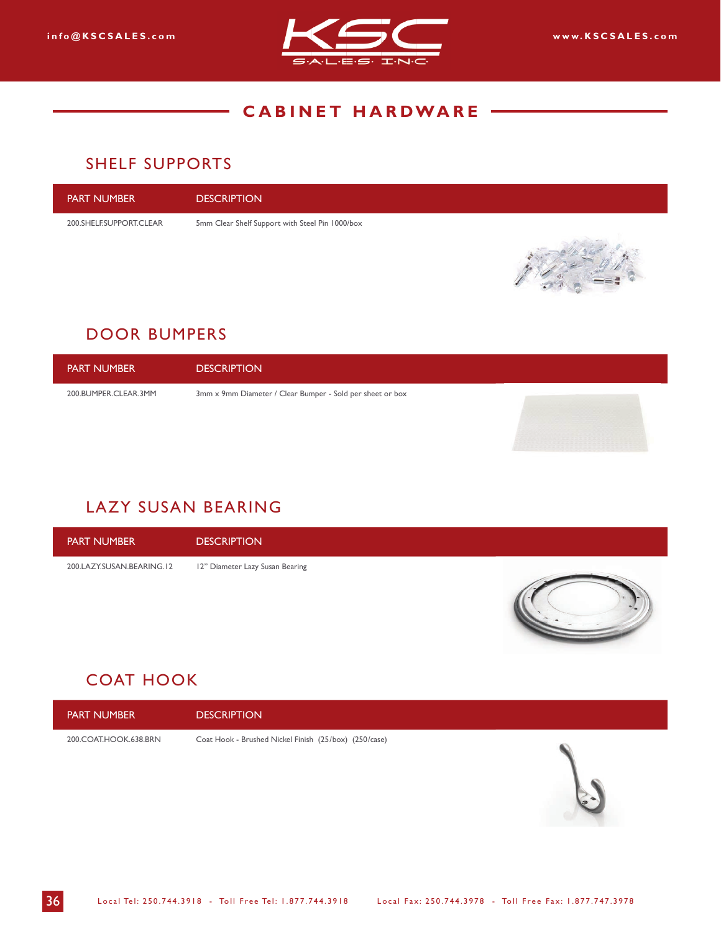

## SHELF SUPPORTS

| I PART NUMBER           | <b>DESCRIPTION</b>                              |
|-------------------------|-------------------------------------------------|
| 200.SHELF.SUPPORT.CLEAR | 5mm Clear Shelf Support with Steel Pin 1000/box |
|                         |                                                 |

# DOOR BUMPERS

| <b>PART NUMBER</b>   | <b>DESCRIPTION</b>                                        |  |
|----------------------|-----------------------------------------------------------|--|
| 200.BUMPER.CLEAR.3MM | 3mm x 9mm Diameter / Clear Bumper - Sold per sheet or box |  |

# LAZY SUSAN BEARING

PART NUMBER DESCRIPTION 200.LAZY.SUSAN.BEARING.12 12" Diameter Lazy Susan Bearing

# COAT HOOK

PART NUMBER DESCRIPTION

200.COAT.HOOK.638.BRN Coat Hook - Brushed Nickel Finish (25/box) (250/case)

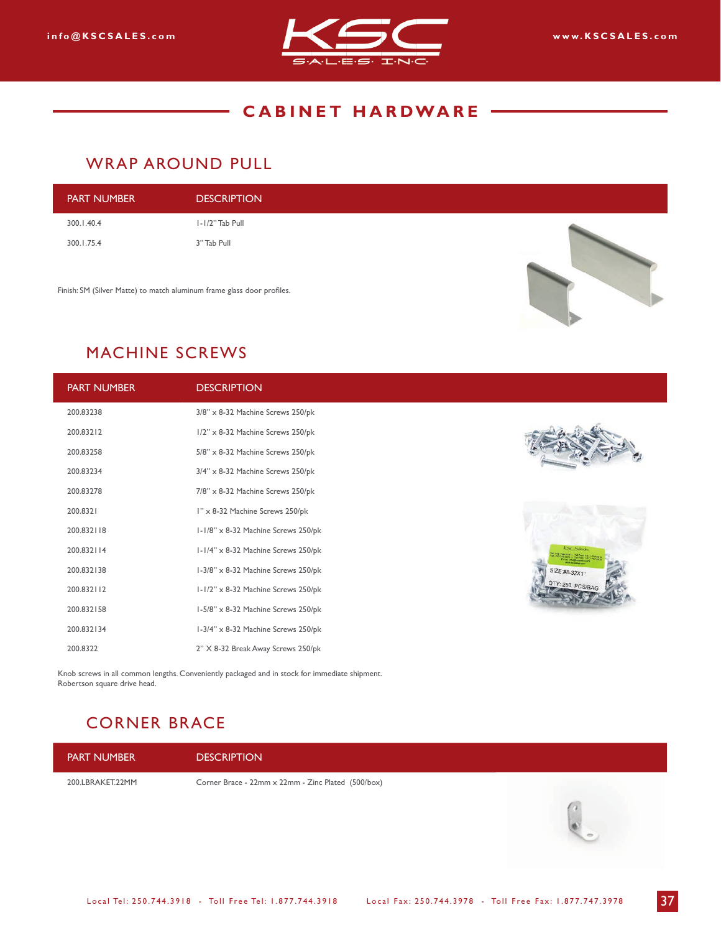

#### WRAP AROUND PULL

| <b>PART NUMBER</b> | <b>DESCRIPTION</b> |  |
|--------------------|--------------------|--|
| 300.1.40.4         | I-I/2" Tab Pull    |  |
| 300.1.75.4         | 3" Tab Pull        |  |
|                    |                    |  |

Finish: SM (Silver Matte) to match aluminum frame glass door profiles.



# MACHINE SCREWS

| <b>PART NUMBER</b> | <b>DESCRIPTION</b>                   |                                                                              |
|--------------------|--------------------------------------|------------------------------------------------------------------------------|
| 200.83238          | 3/8" x 8-32 Machine Screws 250/pk    |                                                                              |
| 200.83212          | 1/2" x 8-32 Machine Screws 250/pk    |                                                                              |
| 200.83258          | $5/8$ " x 8-32 Machine Screws 250/pk |                                                                              |
| 200.83234          | 3/4" x 8-32 Machine Screws 250/pk    |                                                                              |
| 200.83278          | $7/8$ " x 8-32 Machine Screws 250/pk |                                                                              |
| 200.8321           | I" x 8-32 Machine Screws 250/pk      |                                                                              |
| 200.832118         | I-I/8" x 8-32 Machine Screws 250/pk  |                                                                              |
| 200.832114         | I-I/4" x 8-32 Machine Screws 250/pk  | KSC Sales Jac.<br>918 - Tal Free: 1-837-744-3<br>978 - Tal Free: 1-877-747-3 |
| 200.832138         | I-3/8" x 8-32 Machine Screws 250/pk  | SIZE:#8-32X1"                                                                |
| 200.832112         | I-I/2" x 8-32 Machine Screws 250/pk  | QTY: 250 PCS/BAG                                                             |
| 200.832158         | I-5/8" x 8-32 Machine Screws 250/pk  |                                                                              |
| 200.832134         | 1-3/4" x 8-32 Machine Screws 250/pk  |                                                                              |
| 200.8322           | 2" X 8-32 Break Away Screws 250/pk   |                                                                              |
|                    |                                      |                                                                              |

Knob screws in all common lengths. Conveniently packaged and in stock for immediate shipment. Robertson square drive head.

# CORNER BRACE

PART NUMBER DESCRIPTION

200.LBRAKET.22MM Corner Brace - 22mm x 22mm - Zinc Plated (500/box)

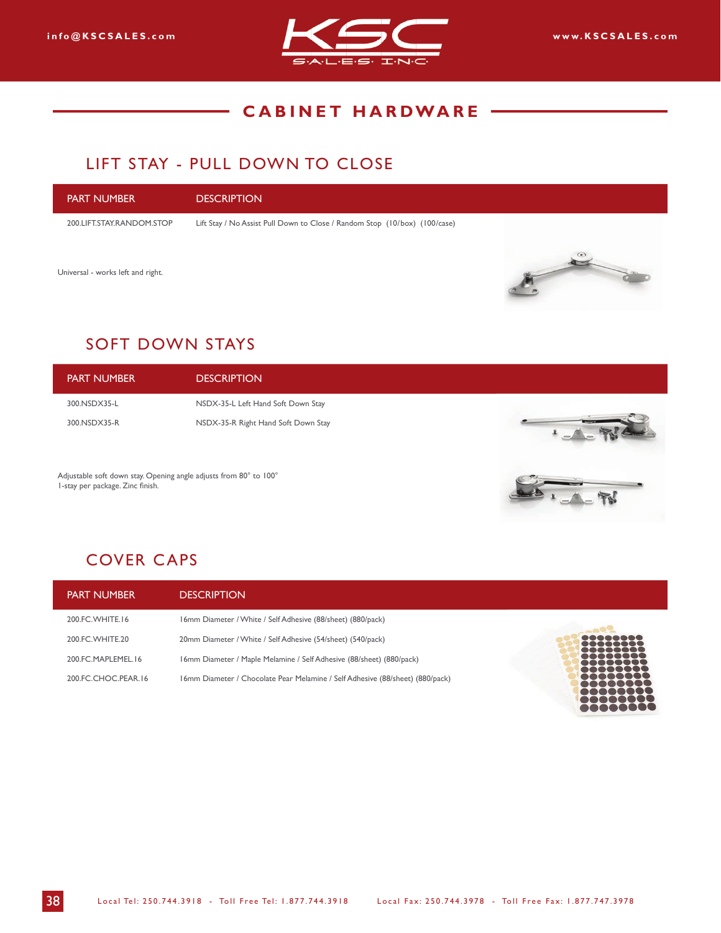

## LIFT STAY - PULL DOWN TO CLOSE

| <b>PART NUMBER</b>                | <b>DESCRIPTION</b>                                                         |                   |
|-----------------------------------|----------------------------------------------------------------------------|-------------------|
| 200.LIFT.STAY.RANDOM.STOP         | Lift Stay / No Assist Pull Down to Close / Random Stop (10/box) (100/case) |                   |
|                                   |                                                                            | $\leftrightarrow$ |
| Universal - works left and right. |                                                                            |                   |

## SOFT DOWN STAYS

| <b>PART NUMBER</b> | <b>DESCRIPTION</b>                  |  |
|--------------------|-------------------------------------|--|
| 300.NSDX35-L       | NSDX-35-L Left Hand Soft Down Stay  |  |
| 300.NSDX35-R       | NSDX-35-R Right Hand Soft Down Stay |  |

Adjustable soft down stay. Opening angle adjusts from 80° to 100° 1-stay per package. Zinc finish.



୭

# COVER CAPS

| <b>PART NUMBER</b>  | <b>DESCRIPTION</b>                                                            |                             |
|---------------------|-------------------------------------------------------------------------------|-----------------------------|
| 200.FC.WHITE.16     | 16mm Diameter / White / Self Adhesive (88/sheet) (880/pack)                   |                             |
| 200 FC WHITE 20     | 20mm Diameter / White / Self Adhesive (54/sheet) (540/pack)                   | 22223333<br><b>BOBDDDDD</b> |
| 200 FC MAPLEMEL 16  | 16mm Diameter / Maple Melamine / Self Adhesive (88/sheet) (880/pack)          | 80000000<br>                |
| 200.FC.CHOC.PEAR.16 | 16mm Diameter / Chocolate Pear Melamine / Self Adhesive (88/sheet) (880/pack) |                             |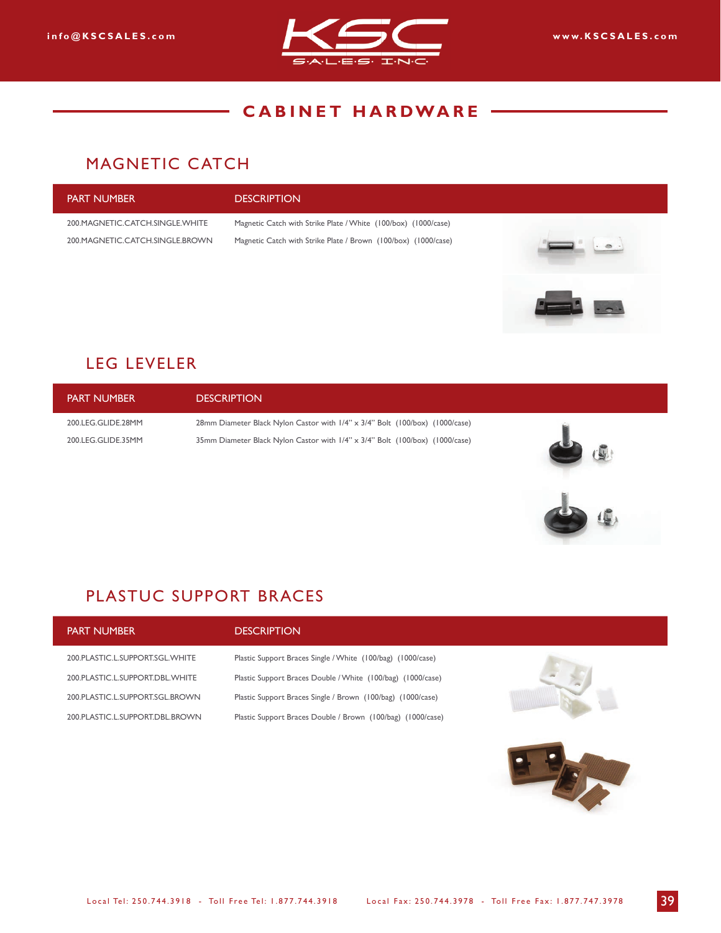

### MAGNETIC CATCH

# PART NUMBER DESCRIPTION 200.MAGNETIC.CATCH.SINGLE.WHITE Magnetic Catch with Strike Plate / White (100/box) (1000/case) 200.MAGNETIC.CATCH.SINGLE.BROWN Magnetic Catch with Strike Plate / Brown (100/box) (1000/case)

## LEG LEVELER

PART NUMBER DESCRIPTION 200.LEG.GLIDE.28MM 28mm Diameter Black Nylon Castor with 1/4" x 3/4" Bolt (100/box) (1000/case) 200.LEG.GLIDE.35MM 35mm Diameter Black Nylon Castor with 1/4" x 3/4" Bolt (100/box) (1000/case)

## PLASTUC SUPPORT BRACES

| <b>PART NUMBER</b>              | <b>DESCRIPTION</b>                                          |  |
|---------------------------------|-------------------------------------------------------------|--|
| 200 PLASTIC L.SUPPORT.SGL.WHITE | Plastic Support Braces Single / White (100/bag) (1000/case) |  |
| 200 PLASTIC L.SUPPORT.DBL.WHITE | Plastic Support Braces Double / White (100/bag) (1000/case) |  |
| 200 PLASTIC L.SUPPORT.SGL.BROWN | Plastic Support Braces Single / Brown (100/bag) (1000/case) |  |
| 200 PLASTIC L.SUPPORT.DBL.BROWN | Plastic Support Braces Double / Brown (100/bag) (1000/case) |  |
|                                 |                                                             |  |